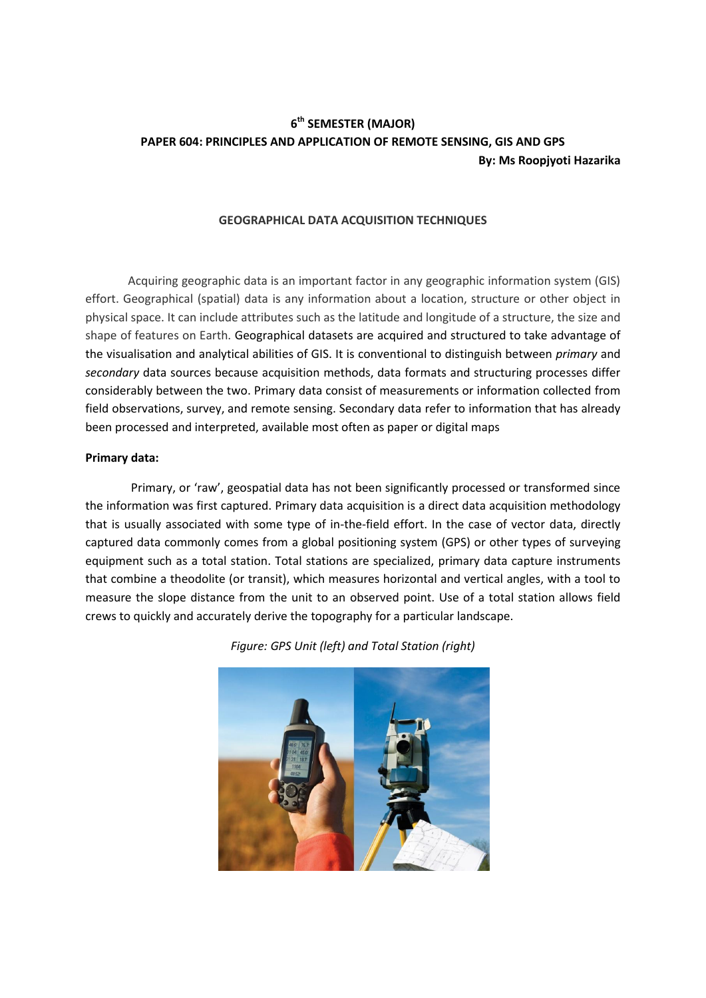# **6 th SEMESTER (MAJOR) PAPER 604: PRINCIPLES AND APPLICATION OF REMOTE SENSING, GIS AND GPS By: Ms Roopjyoti Hazarika**

## **GEOGRAPHICAL DATA ACQUISITION TECHNIQUES**

Acquiring geographic data is an important factor in any geographic information system (GIS) effort. Geographical (spatial) data is any information about a location, structure or other object in physical space. It can include attributes such as the latitude and longitude of a structure, the size and shape of features on Earth. Geographical datasets are acquired and structured to take advantage of the visualisation and analytical abilities of GIS. It is conventional to distinguish between *primary* and *secondary* data sources because acquisition methods, data formats and structuring processes differ considerably between the two. Primary data consist of measurements or information collected from field observations, survey, and remote sensing. Secondary data refer to information that has already been processed and interpreted, available most often as paper or digital maps

#### **Primary data:**

Primary, or 'raw', geospatial data has not been significantly processed or transformed since the information was first captured. Primary data acquisition is a direct data acquisition methodology that is usually associated with some type of in-the-field effort. In the case of vector data, directly captured data commonly comes from a global positioning system (GPS) or other types of surveying equipment such as a total station. Total stations are specialized, primary data capture instruments that combine a theodolite (or transit), which measures horizontal and vertical angles, with a tool to measure the slope distance from the unit to an observed point. Use of a total station allows field crews to quickly and accurately derive the topography for a particular landscape.



*Figure: GPS Unit (left) and Total Station (right)*